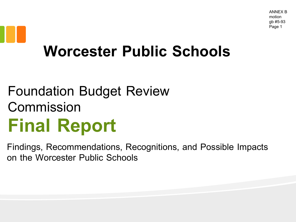## **Worcester Public Schools**

#### Foundation Budget Review Commission **Final Report**

Findings, Recommendations, Recognitions, and Possible Impacts on the Worcester Public Schools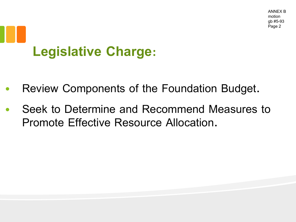## **Legislative Charge:**

- Review Components of the Foundation Budget.
- Seek to Determine and Recommend Measures to Promote Effective Resource Allocation.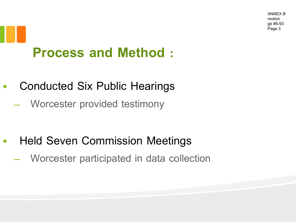### **Process and Method :**

- Conducted Six Public Hearings
	- Worcester provided testimony

- Held Seven Commission Meetings
	- Worcester participated in data collection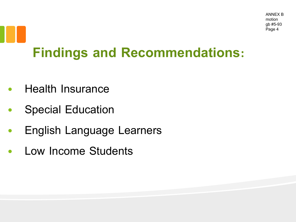#### **Findings and Recommendations:**

- Health Insurance
- Special Education
- English Language Learners
- Low Income Students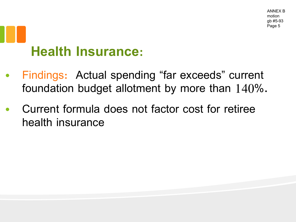## **Health Insurance:**

- Findings: Actual spending "far exceeds" current foundation budget allotment by more than 140%.
- Current formula does not factor cost for retiree health insurance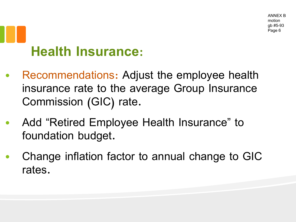## **Health Insurance:**

- Recommendations: Adjust the employee health insurance rate to the average Group Insurance Commission (GIC) rate.
- Add "Retired Employee Health Insurance" to foundation budget.
- Change inflation factor to annual change to GIC rates.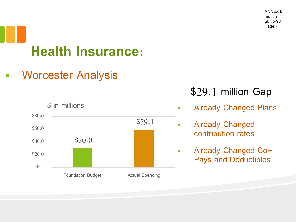ANNEX B motion gb #5-93 Page 7

# **Health Insurance:**

• Worcester Analysis



#### \$29.1 million Gap

- Already Changed Plans
- Already Changed contribution rates
- Already Changed Co-Pays and Deductibles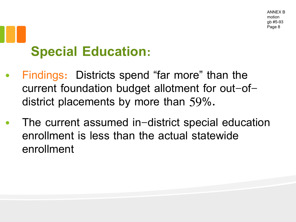- Findings: Districts spend "far more" than the current foundation budget allotment for out-ofdistrict placements by more than 59%.
- The current assumed in-district special education enrollment is less than the actual statewide enrollment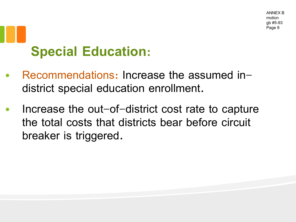- Recommendations: Increase the assumed indistrict special education enrollment.
- Increase the out-of-district cost rate to capture the total costs that districts bear before circuit breaker is triggered.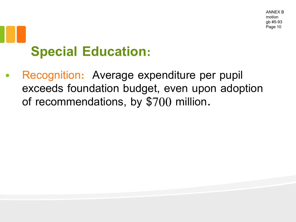Recognition: Average expenditure per pupil exceeds foundation budget, even upon adoption of recommendations, by \$700 million.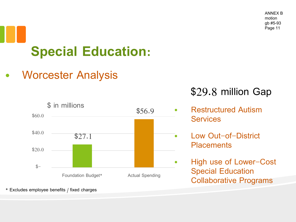• Worcester Analysis



#### \$29.8 million Gap

- Restructured Autism **Services**
- Low Out-of-District **Placements**
- High use of Lower-Cost Special Education Collaborative Programs

\* Excludes employee benefits / fixed charges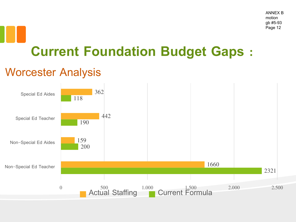#### **Current Foundation Budget Gaps :**

#### Worcester Analysis

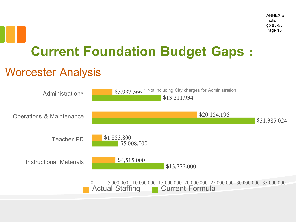#### **Current Foundation Budget Gaps :**

#### Worcester Analysis

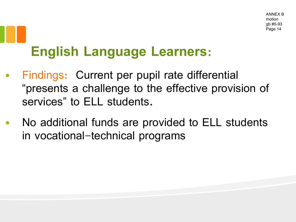### **English Language Learners:**

- Findings: Current per pupil rate differential "presents a challenge to the effective provision of services" to ELL students.
- No additional funds are provided to ELL students in vocational-technical programs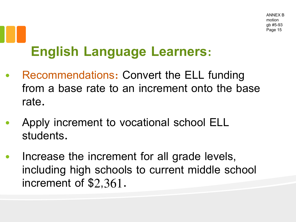#### **English Language Learners:**

- Recommendations: Convert the ELL funding from a base rate to an increment onto the base rate.
- Apply increment to vocational school ELL students.
- Increase the increment for all grade levels, including high schools to current middle school increment of \$2,361.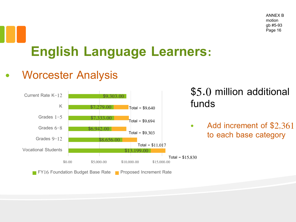ANNEX B motion gb #5-93 Page 16

### **English Language Learners:**

#### • Worcester Analysis



\$5.0 million additional funds

• Add increment of \$2,361 to each base category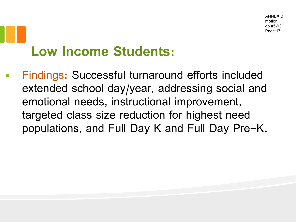• Findings: Successful turnaround efforts included extended school day/year, addressing social and emotional needs, instructional improvement, targeted class size reduction for highest need populations, and Full Day K and Full Day Pre-K.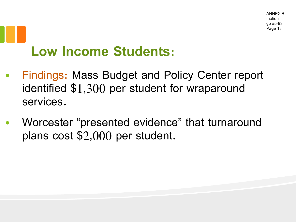- Findings: Mass Budget and Policy Center report identified \$1,300 per student for wraparound services.
- Worcester "presented evidence" that turnaround plans cost \$2,000 per student.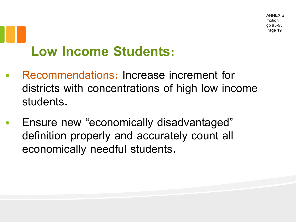- Recommendations: Increase increment for districts with concentrations of high low income students.
- Ensure new "economically disadvantaged" definition properly and accurately count all economically needful students.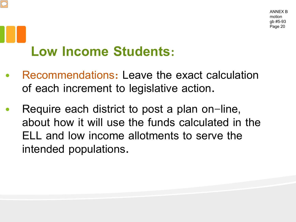- Recommendations: Leave the exact calculation of each increment to legislative action.
- Require each district to post a plan on-line, about how it will use the funds calculated in the ELL and low income allotments to serve the intended populations.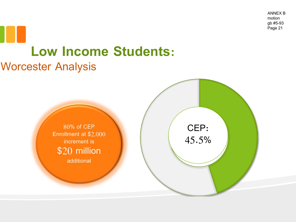ANNEX B motion gb #5-93 Page 21

# **Low Income Students:**

#### Worcester Analysis

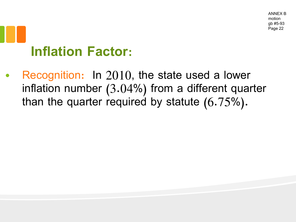ANNEX B motion gb #5-93 Page 22

## **Inflation Factor:**

Recognition: In 2010, the state used a lower inflation number (3.04%) from a different quarter than the quarter required by statute (6.75%).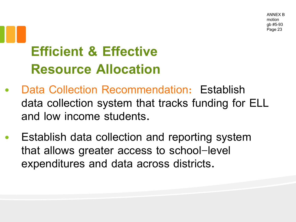#### **Efficient & Effective Resource Allocation**

- Data Collection Recommendation: Establish data collection system that tracks funding for ELL and low income students.
- Establish data collection and reporting system that allows greater access to school-level expenditures and data across districts.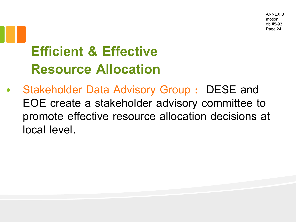#### **Efficient & Effective Resource Allocation**

• Stakeholder Data Advisory Group : DESE and EOE create a stakeholder advisory committee to promote effective resource allocation decisions at local level.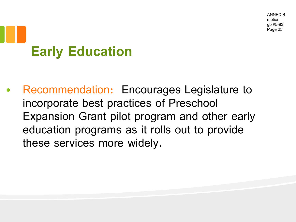# **Early Education**

• Recommendation: Encourages Legislature to incorporate best practices of Preschool Expansion Grant pilot program and other early education programs as it rolls out to provide these services more widely.